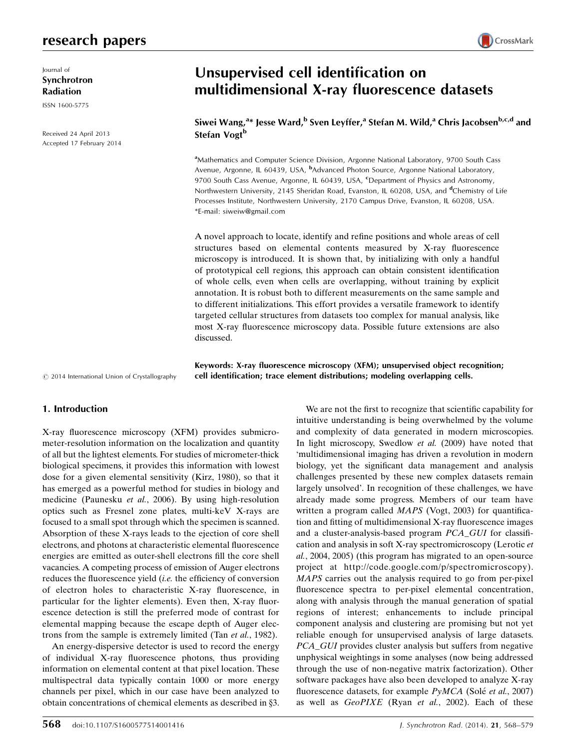# research papers

Journal of Synchrotron Radiation

ISSN 1600-5775

Received 24 April 2013 Accepted 17 February 2014

# Unsupervised cell identification on multidimensional X-ray fluorescence datasets

Siwei Wang, $^{\mathrm{a}}$ \* Jesse Ward, $^{\mathrm{b}}$  Sven Leyffer, $^{\mathrm{a}}$  Stefan M. Wild, $^{\mathrm{a}}$  Chris Jacobsen $^{\mathrm{b},\mathrm{c},\mathrm{d}}$  and Stefan Vogt<sup>b</sup>

<sup>a</sup>Mathematics and Computer Science Division, Argonne National Laboratory, 9700 South Cass Avenue, Argonne, IL 60439, USA, <sup>b</sup>Advanced Photon Source, Argonne National Laboratory, 9700 South Cass Avenue, Argonne, IL 60439, USA, <sup>c</sup>Department of Physics and Astronomy, Northwestern University, 2145 Sheridan Road, Evanston, IL 60208, USA, and <sup>d</sup>Chemistry of Life Processes Institute, Northwestern University, 2170 Campus Drive, Evanston, IL 60208, USA. \*E-mail: [siweiw@gmail.com](http://scripts.iucr.org/cgi-bin/cr.cgi?rm=pdfbb&cnor=wa5055&bbid=BB44)

A novel approach to locate, identify and refine positions and whole areas of cell structures based on elemental contents measured by X-ray fluorescence microscopy is introduced. It is shown that, by initializing with only a handful of prototypical cell regions, this approach can obtain consistent identification of whole cells, even when cells are overlapping, without training by explicit annotation. It is robust both to different measurements on the same sample and to different initializations. This effort provides a versatile framework to identify targeted cellular structures from datasets too complex for manual analysis, like most X-ray fluorescence microscopy data. Possible future extensions are also discussed.

Keywords: X-ray fluorescence microscopy (XFM); unsupervised object recognition; cell identification; trace element distributions; modeling overlapping cells.

 $©$  2014 International Union of Crystallography

## 1. Introduction

X-ray fluorescence microscopy (XFM) provides submicrometer-resolution information on the localization and quantity of all but the lightest elements. For studies of micrometer-thick biological specimens, it provides this information with lowest dose for a given elemental sensitivity (Kirz, 1980), so that it has emerged as a powerful method for studies in biology and medicine (Paunesku et al., 2006). By using high-resolution optics such as Fresnel zone plates, multi-keV X-rays are focused to a small spot through which the specimen is scanned. Absorption of these X-rays leads to the ejection of core shell electrons, and photons at characteristic elemental fluorescence energies are emitted as outer-shell electrons fill the core shell vacancies. A competing process of emission of Auger electrons reduces the fluorescence yield (i.e. the efficiency of conversion of electron holes to characteristic X-ray fluorescence, in particular for the lighter elements). Even then, X-ray fluorescence detection is still the preferred mode of contrast for elemental mapping because the escape depth of Auger electrons from the sample is extremely limited (Tan et al., 1982).

An energy-dispersive detector is used to record the energy of individual X-ray fluorescence photons, thus providing information on elemental content at that pixel location. These multispectral data typically contain 1000 or more energy channels per pixel, which in our case have been analyzed to obtain concentrations of chemical elements as described in §3.

568 doi:10.1107/S1600577514001416 J. Synchrotron Rad. (2014). <sup>21</sup>, 568–579 biology, yet the significant data management and analysis challenges presented by these new complex datasets remain largely unsolved'. In recognition of these challenges, we have already made some progress. Members of our team have written a program called *MAPS* (Vogt, 2003) for quantification and fitting of multidimensional X-ray fluorescence images and a cluster-analysis-based program PCA\_GUI for classification and analysis in soft X-ray spectromicroscopy (Lerotic et al., 2004, 2005) (this program has migrated to an open-source project at http://code.google.com/p/spectromicroscopy). MAPS carries out the analysis required to go from per-pixel fluorescence spectra to per-pixel elemental concentration, along with analysis through the manual generation of spatial regions of interest; enhancements to include principal component analysis and clustering are promising but not yet reliable enough for unsupervised analysis of large datasets. PCA\_GUI provides cluster analysis but suffers from negative unphysical weightings in some analyses (now being addressed through the use of non-negative matrix factorization). Other software packages have also been developed to analyze X-ray fluorescence datasets, for example  $PyMCA$  (Solé et al., 2007) as well as GeoPIXE (Ryan et al., 2002). Each of these

We are not the first to recognize that scientific capability for intuitive understanding is being overwhelmed by the volume and complexity of data generated in modern microscopies. In light microscopy, Swedlow et al. (2009) have noted that 'multidimensional imaging has driven a revolution in modern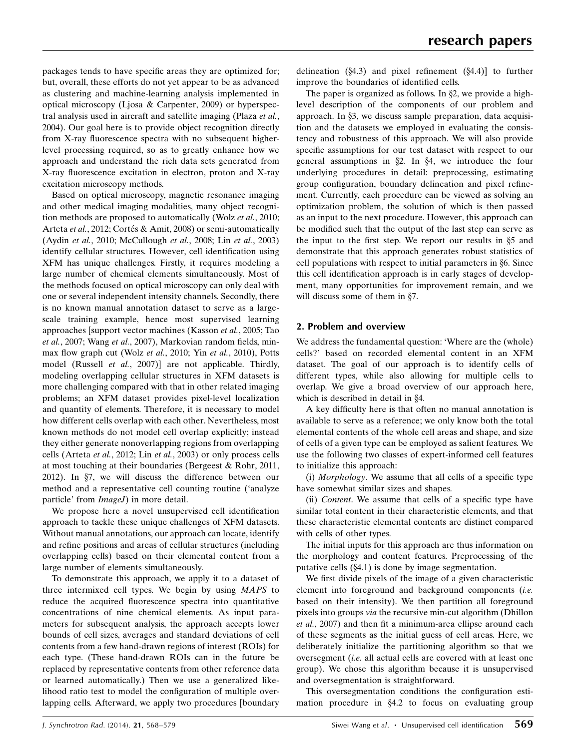packages tends to have specific areas they are optimized for; but, overall, these efforts do not yet appear to be as advanced as clustering and machine-learning analysis implemented in optical microscopy (Ljosa & Carpenter, 2009) or hyperspectral analysis used in aircraft and satellite imaging (Plaza et al., 2004). Our goal here is to provide object recognition directly from X-ray fluorescence spectra with no subsequent higherlevel processing required, so as to greatly enhance how we approach and understand the rich data sets generated from X-ray fluorescence excitation in electron, proton and X-ray excitation microscopy methods.

Based on optical microscopy, magnetic resonance imaging and other medical imaging modalities, many object recognition methods are proposed to automatically (Wolz et al., 2010; Arteta et al., 2012; Cortés & Amit, 2008) or semi-automatically (Aydin et al., 2010; McCullough et al., 2008; Lin et al., 2003) identify cellular structures. However, cell identification using XFM has unique challenges. Firstly, it requires modeling a large number of chemical elements simultaneously. Most of the methods focused on optical microscopy can only deal with one or several independent intensity channels. Secondly, there is no known manual annotation dataset to serve as a largescale training example, hence most supervised learning approaches [support vector machines (Kasson et al., 2005; Tao et al., 2007; Wang et al., 2007), Markovian random fields, minmax flow graph cut (Wolz et al., 2010; Yin et al., 2010), Potts model (Russell *et al.*, 2007)] are not applicable. Thirdly, modeling overlapping cellular structures in XFM datasets is more challenging compared with that in other related imaging problems; an XFM dataset provides pixel-level localization and quantity of elements. Therefore, it is necessary to model how different cells overlap with each other. Nevertheless, most known methods do not model cell overlap explicitly; instead they either generate nonoverlapping regions from overlapping cells (Arteta et al., 2012; Lin et al., 2003) or only process cells at most touching at their boundaries (Bergeest & Rohr, 2011, 2012). In  $\S7$ , we will discuss the difference between our method and a representative cell counting routine ('analyze particle' from *ImageJ*) in more detail.

We propose here a novel unsupervised cell identification approach to tackle these unique challenges of XFM datasets. Without manual annotations, our approach can locate, identify and refine positions and areas of cellular structures (including overlapping cells) based on their elemental content from a large number of elements simultaneously.

To demonstrate this approach, we apply it to a dataset of three intermixed cell types. We begin by using MAPS to reduce the acquired fluorescence spectra into quantitative concentrations of nine chemical elements. As input parameters for subsequent analysis, the approach accepts lower bounds of cell sizes, averages and standard deviations of cell contents from a few hand-drawn regions of interest (ROIs) for each type. (These hand-drawn ROIs can in the future be replaced by representative contents from other reference data or learned automatically.) Then we use a generalized likelihood ratio test to model the configuration of multiple overlapping cells. Afterward, we apply two procedures [boundary delineation  $(\S 4.3)$  and pixel refinement  $(\S 4.4)$ ] to further improve the boundaries of identified cells.

The paper is organized as follows. In  $\S$ 2, we provide a highlevel description of the components of our problem and approach. In  $\S$ 3, we discuss sample preparation, data acquisition and the datasets we employed in evaluating the consistency and robustness of this approach. We will also provide specific assumptions for our test dataset with respect to our general assumptions in  $\S2$ . In  $\S4$ , we introduce the four underlying procedures in detail: preprocessing, estimating group configuration, boundary delineation and pixel refinement. Currently, each procedure can be viewed as solving an optimization problem, the solution of which is then passed as an input to the next procedure. However, this approach can be modified such that the output of the last step can serve as the input to the first step. We report our results in  $\S$ 5 and demonstrate that this approach generates robust statistics of cell populations with respect to initial parameters in §6. Since this cell identification approach is in early stages of development, many opportunities for improvement remain, and we will discuss some of them in  $\S$ 7.

# 2. Problem and overview

We address the fundamental question: 'Where are the (whole) cells?' based on recorded elemental content in an XFM dataset. The goal of our approach is to identify cells of different types, while also allowing for multiple cells to overlap. We give a broad overview of our approach here, which is described in detail in §4.

A key difficulty here is that often no manual annotation is available to serve as a reference; we only know both the total elemental contents of the whole cell areas and shape, and size of cells of a given type can be employed as salient features. We use the following two classes of expert-informed cell features to initialize this approach:

(i) Morphology. We assume that all cells of a specific type have somewhat similar sizes and shapes.

(ii) Content. We assume that cells of a specific type have similar total content in their characteristic elements, and that these characteristic elemental contents are distinct compared with cells of other types.

The initial inputs for this approach are thus information on the morphology and content features. Preprocessing of the putative cells  $(\S4.1)$  is done by image segmentation.

We first divide pixels of the image of a given characteristic element into foreground and background components (i.e. based on their intensity). We then partition all foreground pixels into groups via the recursive min-cut algorithm (Dhillon et al., 2007) and then fit a minimum-area ellipse around each of these segments as the initial guess of cell areas. Here, we deliberately initialize the partitioning algorithm so that we oversegment (i.e. all actual cells are covered with at least one group). We chose this algorithm because it is unsupervised and oversegmentation is straightforward.

This oversegmentation conditions the configuration estimation procedure in  $\S 4.2$  to focus on evaluating group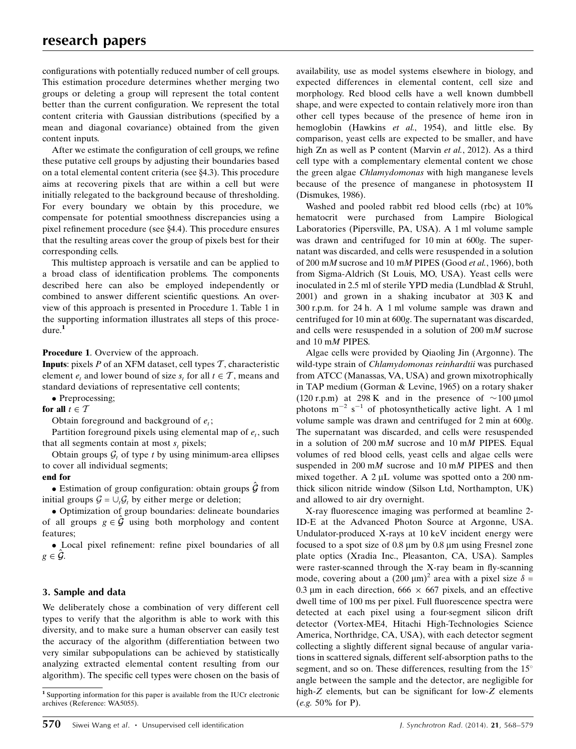configurations with potentially reduced number of cell groups. This estimation procedure determines whether merging two groups or deleting a group will represent the total content better than the current configuration. We represent the total content criteria with Gaussian distributions (specified by a mean and diagonal covariance) obtained from the given content inputs.

After we estimate the configuration of cell groups, we refine these putative cell groups by adjusting their boundaries based on a total elemental content criteria (see  $\S$ 4.3). This procedure aims at recovering pixels that are within a cell but were initially relegated to the background because of thresholding. For every boundary we obtain by this procedure, we compensate for potential smoothness discrepancies using a pixel refinement procedure (see  $\S 4.4$ ). This procedure ensures that the resulting areas cover the group of pixels best for their corresponding cells.

This multistep approach is versatile and can be applied to a broad class of identification problems. The components described here can also be employed independently or combined to answer different scientific questions. An overview of this approach is presented in Procedure 1. Table 1 in the supporting information illustrates all steps of this procedure.<sup>1</sup>

Procedure 1. Overview of the approach.

**Inputs:** pixels P of an XFM dataset, cell types  $\mathcal{T}$ , characteristic element  $e_t$  and lower bound of size  $s_t$  for all  $t \in \mathcal{T}$ , means and standard deviations of representative cell contents;

• Preprocessing;

# for all  $t \in \mathcal{T}$

Obtain foreground and background of  $e_t$ ;

Partition foreground pixels using elemental map of  $e_t$ , such that all segments contain at most  $s_t$  pixels;

Obtain groups  $G_t$  of type t by using minimum-area ellipses to cover all individual segments;

# end for

• Estimation of group configuration: obtain groups  $\hat{\mathcal{G}}$  from initial groups  $G = \bigcup_i G_i$  by either merge or deletion;

- Optimization of group boundaries: delineate boundaries of all groups  $g \in \hat{\mathcal{G}}$  using both morphology and content features;

- Local pixel refinement: refine pixel boundaries of all  $g \in \mathcal{G}$ .

# 3. Sample and data

We deliberately chose a combination of very different cell types to verify that the algorithm is able to work with this diversity, and to make sure a human observer can easily test the accuracy of the algorithm (differentiation between two very similar subpopulations can be achieved by statistically analyzing extracted elemental content resulting from our algorithm). The specific cell types were chosen on the basis of availability, use as model systems elsewhere in biology, and expected differences in elemental content, cell size and morphology. Red blood cells have a well known dumbbell shape, and were expected to contain relatively more iron than other cell types because of the presence of heme iron in hemoglobin (Hawkins et al., 1954), and little else. By comparison, yeast cells are expected to be smaller, and have high Zn as well as P content (Marvin et al., 2012). As a third cell type with a complementary elemental content we chose the green algae Chlamydomonas with high manganese levels because of the presence of manganese in photosystem II (Dismukes, 1986).

Washed and pooled rabbit red blood cells (rbc) at 10% hematocrit were purchased from Lampire Biological Laboratories (Pipersville, PA, USA). A 1 ml volume sample was drawn and centrifuged for 10 min at 600g. The supernatant was discarded, and cells were resuspended in a solution of 200 mM sucrose and 10 mM PIPES (Good et al., 1966), both from Sigma-Aldrich (St Louis, MO, USA). Yeast cells were inoculated in 2.5 ml of sterile YPD media (Lundblad & Struhl, 2001) and grown in a shaking incubator at 303 K and 300 r.p.m. for 24 h. A 1 ml volume sample was drawn and centrifuged for 10 min at 600g. The supernatant was discarded, and cells were resuspended in a solution of 200 mM sucrose and 10 mM PIPES.

Algae cells were provided by Qiaoling Jin (Argonne). The wild-type strain of Chlamydomonas reinhardtii was purchased from ATCC (Manassas, VA, USA) and grown mixotrophically in TAP medium (Gorman & Levine, 1965) on a rotary shaker (120 r.p.m) at 298 K and in the presence of  $\sim$ 100 µmol photons  $m^{-2}$  s<sup>-1</sup> of photosynthetically active light. A 1 ml volume sample was drawn and centrifuged for 2 min at 600g. The supernatant was discarded, and cells were resuspended in a solution of 200 mM sucrose and 10 mM PIPES. Equal volumes of red blood cells, yeast cells and algae cells were suspended in 200 mM sucrose and 10 mM PIPES and then mixed together. A  $2 \mu L$  volume was spotted onto a  $200 \text{ nm}$ thick silicon nitride window (Silson Ltd, Northampton, UK) and allowed to air dry overnight.

X-ray fluorescence imaging was performed at beamline 2- ID-E at the Advanced Photon Source at Argonne, USA. Undulator-produced X-rays at 10 keV incident energy were focused to a spot size of  $0.8 \mu m$  by  $0.8 \mu m$  using Fresnel zone plate optics (Xradia Inc., Pleasanton, CA, USA). Samples were raster-scanned through the X-ray beam in fly-scanning mode, covering about a  $(200 \,\mu\text{m})^2$  area with a pixel size  $\delta =$ 0.3  $\mu$ m in each direction, 666  $\times$  667 pixels, and an effective dwell time of 100 ms per pixel. Full fluorescence spectra were detected at each pixel using a four-segment silicon drift detector (Vortex-ME4, Hitachi High-Technologies Science America, Northridge, CA, USA), with each detector segment collecting a slightly different signal because of angular variations in scattered signals, different self-absorption paths to the segment, and so on. These differences, resulting from the 15° angle between the sample and the detector, are negligible for high-Z elements, but can be significant for low-Z elements (e.g. 50% for P).

<sup>1</sup> Supporting information for this paper is available from the IUCr electronic archives (Reference: WA5055).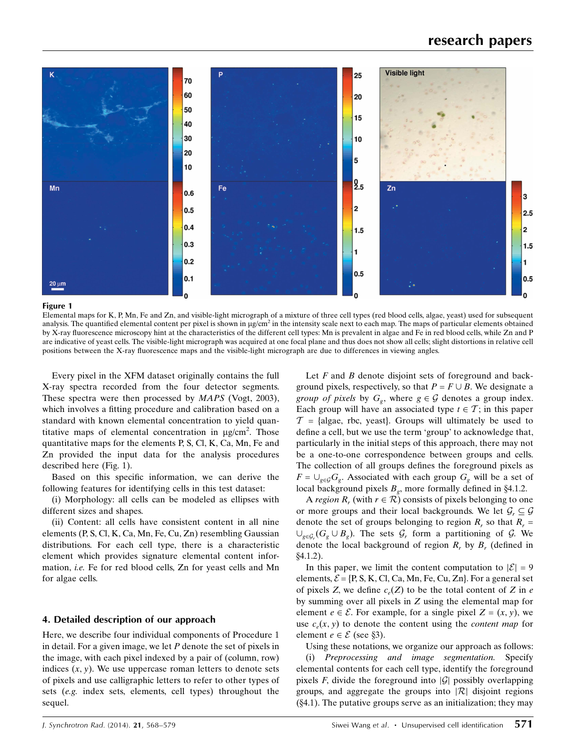

#### Figure 1

Elemental maps for K, P, Mn, Fe and Zn, and visible-light micrograph of a mixture of three cell types (red blood cells, algae, yeast) used for subsequent analysis. The quantified elemental content per pixel is shown in  $\mu g/cm^2$  in the intensity scale next to each map. The maps of particular elements obtained by X-ray fluorescence microscopy hint at the characteristics of the different cell types: Mn is prevalent in algae and Fe in red blood cells, while Zn and P are indicative of yeast cells. The visible-light micrograph was acquired at one focal plane and thus does not show all cells; slight distortions in relative cell positions between the X-ray fluorescence maps and the visible-light micrograph are due to differences in viewing angles.

Every pixel in the XFM dataset originally contains the full X-ray spectra recorded from the four detector segments. These spectra were then processed by MAPS (Vogt, 2003), which involves a fitting procedure and calibration based on a standard with known elemental concentration to yield quantitative maps of elemental concentration in  $\mu$ g/cm<sup>2</sup>. Those quantitative maps for the elements P, S, Cl, K, Ca, Mn, Fe and Zn provided the input data for the analysis procedures described here (Fig. 1).

Based on this specific information, we can derive the following features for identifying cells in this test dataset:

(i) Morphology: all cells can be modeled as ellipses with different sizes and shapes.

(ii) Content: all cells have consistent content in all nine elements (P, S, Cl, K, Ca, Mn, Fe, Cu, Zn) resembling Gaussian distributions. For each cell type, there is a characteristic element which provides signature elemental content information, i.e. Fe for red blood cells, Zn for yeast cells and Mn for algae cells.

## 4. Detailed description of our approach

Here, we describe four individual components of Procedure 1 in detail. For a given image, we let  $P$  denote the set of pixels in the image, with each pixel indexed by a pair of (column, row) indices  $(x, y)$ . We use uppercase roman letters to denote sets of pixels and use calligraphic letters to refer to other types of sets (e.g. index sets, elements, cell types) throughout the sequel.

Let  $F$  and  $B$  denote disjoint sets of foreground and background pixels, respectively, so that  $P = F \cup B$ . We designate a group of pixels by  $G_{\varrho}$ , where  $g \in \mathcal{G}$  denotes a group index. Each group will have an associated type  $t \in \mathcal{T}$ ; in this paper  $\mathcal{T}$  = {algae, rbc, yeast}. Groups will ultimately be used to define a cell, but we use the term 'group' to acknowledge that, particularly in the initial steps of this approach, there may not be a one-to-one correspondence between groups and cells. The collection of all groups defines the foreground pixels as  $F = \bigcup_{g \in \mathcal{G}} G_g$ . Associated with each group  $G_g$  will be a set of local background pixels  $B<sub>g</sub>$ , more formally defined in §4.1.2.

A region  $R_r$  (with  $r \in \mathcal{R}$ ) consists of pixels belonging to one or more groups and their local backgrounds. We let  $\mathcal{G}_r \subseteq \mathcal{G}$ denote the set of groups belonging to region  $R_r$ , so that  $R_r =$  $\cup_{g \in \mathcal{G}_r} (G_g \cup B_g)$ . The sets  $\mathcal{G}_r$  form a partitioning of  $\mathcal{G}$ . We denote the local background of region  $R_r$ , by  $B_r$  (defined in  $$4.1.2$ ).

In this paper, we limit the content computation to  $|\mathcal{E}| = 9$ elements,  $\mathcal{E} = \{P, S, K, Cl, Ca, Mn, Fe, Cu, Zn\}$ . For a general set of pixels Z, we define  $c_e(Z)$  to be the total content of Z in e by summing over all pixels in Z using the elemental map for element  $e \in \mathcal{E}$ . For example, for a single pixel  $Z = (x, y)$ , we use  $c<sub>n</sub>(x, y)$  to denote the content using the *content map* for element  $e \in \mathcal{E}$  (see §3).

Using these notations, we organize our approach as follows: (i) Preprocessing and image segmentation. Specify elemental contents for each cell type, identify the foreground pixels F, divide the foreground into  $|\mathcal{G}|$  possibly overlapping groups, and aggregate the groups into  $|\mathcal{R}|$  disjoint regions  $(\S 4.1)$ . The putative groups serve as an initialization; they may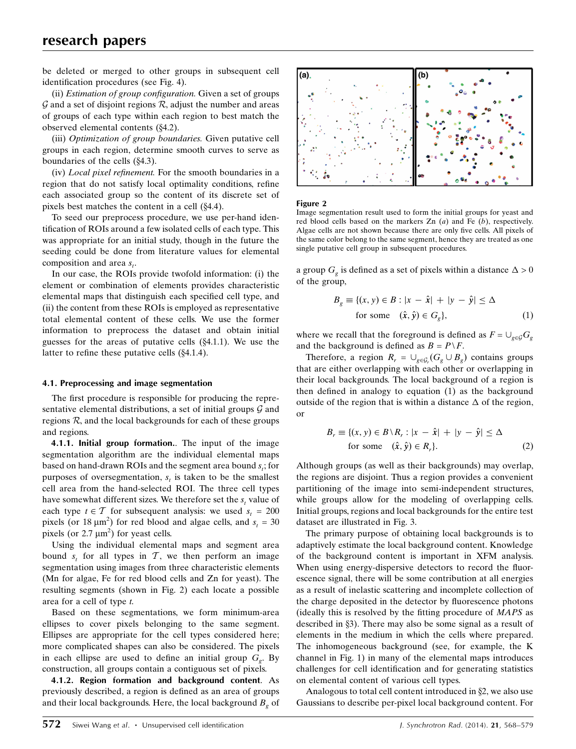be deleted or merged to other groups in subsequent cell identification procedures (see Fig. 4).

(ii) Estimation of group configuration. Given a set of groups  $\mathcal G$  and a set of disjoint regions  $\mathcal R$ , adjust the number and areas of groups of each type within each region to best match the observed elemental contents  $(\S4.2)$ .

(iii) Optimization of group boundaries. Given putative cell groups in each region, determine smooth curves to serve as boundaries of the cells  $(\&4.3)$ .

(iv) Local pixel refinement. For the smooth boundaries in a region that do not satisfy local optimality conditions, refine each associated group so the content of its discrete set of pixels best matches the content in a cell  $(\S4.4)$ .

To seed our preprocess procedure, we use per-hand identification of ROIs around a few isolated cells of each type. This was appropriate for an initial study, though in the future the seeding could be done from literature values for elemental composition and area  $s_t$ .

In our case, the ROIs provide twofold information: (i) the element or combination of elements provides characteristic elemental maps that distinguish each specified cell type, and (ii) the content from these ROIs is employed as representative total elemental content of these cells. We use the former information to preprocess the dataset and obtain initial guesses for the areas of putative cells  $(\S 4.1.1)$ . We use the latter to refine these putative cells  $(\S 4.1.4)$ .

## 4.1. Preprocessing and image segmentation

The first procedure is responsible for producing the representative elemental distributions, a set of initial groups  $G$  and regions  $R$ , and the local backgrounds for each of these groups and regions.

4.1.1. Initial group formation.. The input of the image segmentation algorithm are the individual elemental maps based on hand-drawn ROIs and the segment area bound  $s_i$ ; for purposes of oversegmentation,  $s_t$  is taken to be the smallest cell area from the hand-selected ROI. The three cell types have somewhat different sizes. We therefore set the  $s_t$  value of each type  $t \in \mathcal{T}$  for subsequent analysis: we used  $s_t = 200$ pixels (or  $18 \mu m^2$ ) for red blood and algae cells, and  $s_t = 30$ pixels (or  $2.7 \mu m^2$ ) for yeast cells.

Using the individual elemental maps and segment area bound  $s_t$  for all types in T, we then perform an image segmentation using images from three characteristic elements (Mn for algae, Fe for red blood cells and Zn for yeast). The resulting segments (shown in Fig. 2) each locate a possible area for a cell of type t.

Based on these segmentations, we form minimum-area ellipses to cover pixels belonging to the same segment. Ellipses are appropriate for the cell types considered here; more complicated shapes can also be considered. The pixels in each ellipse are used to define an initial group  $G_{e}$ . By construction, all groups contain a contiguous set of pixels.

4.1.2. Region formation and background content. As previously described, a region is defined as an area of groups and their local backgrounds. Here, the local background  $B<sub>o</sub>$  of



#### Figure 2

Image segmentation result used to form the initial groups for yeast and red blood cells based on the markers  $Zn(a)$  and Fe  $(b)$ , respectively. Algae cells are not shown because there are only five cells. All pixels of the same color belong to the same segment, hence they are treated as one single putative cell group in subsequent procedures.

a group  $G_g$  is defined as a set of pixels within a distance  $\Delta > 0$ of the group,

$$
B_g \equiv \{(x, y) \in B : |x - \hat{x}| + |y - \hat{y}| \le \Delta
$$
  
for some  $(\hat{x}, \hat{y}) \in G_g\}$ , (1)

where we recall that the foreground is defined as  $F = \bigcup_{g \in \mathcal{G}} G_g$ and the background is defined as  $B = P \backslash F$ .

Therefore, a region  $R_r = \bigcup_{g \in \mathcal{G}_r} (G_g \cup B_g)$  contains groups that are either overlapping with each other or overlapping in their local backgrounds. The local background of a region is then defined in analogy to equation (1) as the background outside of the region that is within a distance  $\Delta$  of the region, or

$$
B_r \equiv \{(x, y) \in B \setminus R_r : |x - \hat{x}| + |y - \hat{y}| \le \Delta \text{ for some } (\hat{x}, \hat{y}) \in R_r\}. \tag{2}
$$

Although groups (as well as their backgrounds) may overlap, the regions are disjoint. Thus a region provides a convenient partitioning of the image into semi-independent structures, while groups allow for the modeling of overlapping cells. Initial groups, regions and local backgrounds for the entire test dataset are illustrated in Fig. 3.

The primary purpose of obtaining local backgrounds is to adaptively estimate the local background content. Knowledge of the background content is important in XFM analysis. When using energy-dispersive detectors to record the fluorescence signal, there will be some contribution at all energies as a result of inelastic scattering and incomplete collection of the charge deposited in the detector by fluorescence photons (ideally this is resolved by the fitting procedure of MAPS as described in  $\S$ 3). There may also be some signal as a result of elements in the medium in which the cells where prepared. The inhomogeneous background (see, for example, the K channel in Fig. 1) in many of the elemental maps introduces challenges for cell identification and for generating statistics on elemental content of various cell types.

Analogous to total cell content introduced in  $\S$ 2, we also use Gaussians to describe per-pixel local background content. For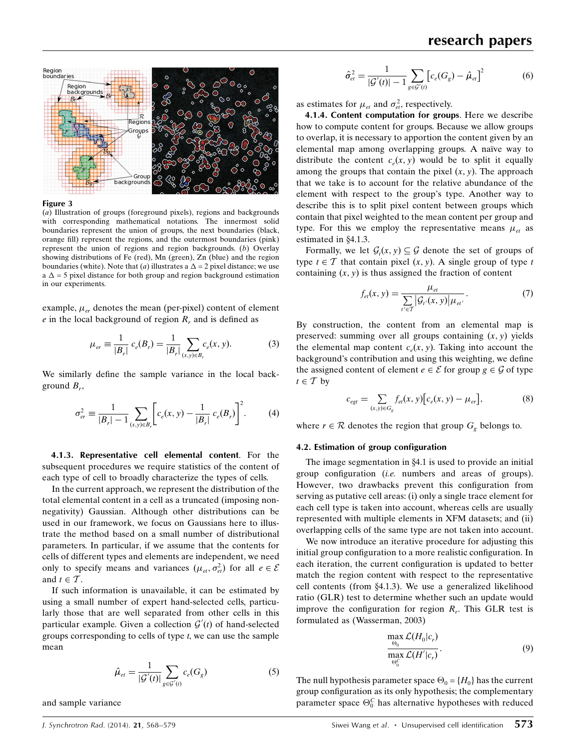

#### Figure 3

(a) Illustration of groups (foreground pixels), regions and backgrounds with corresponding mathematical notations. The innermost solid boundaries represent the union of groups, the next boundaries (black, orange fill) represent the regions, and the outermost boundaries (pink) represent the union of regions and region backgrounds. (b) Overlay showing distributions of Fe (red), Mn (green), Zn (blue) and the region boundaries (white). Note that (*a*) illustrates a  $\Delta = 2$  pixel distance; we use  $a \Delta = 5$  pixel distance for both group and region background estimation in our experiments.

example,  $\mu_{er}$  denotes the mean (per-pixel) content of element  $e$  in the local background of region  $R<sub>r</sub>$  and is defined as

$$
\mu_{er} \equiv \frac{1}{|B_r|} c_e(B_r) = \frac{1}{|B_r|} \sum_{(x,y)\in B_r} c_e(x,y).
$$
 (3)

We similarly define the sample variance in the local background  $B_r$ ,

$$
\sigma_{er}^2 \equiv \frac{1}{|B_r| - 1} \sum_{(x, y) \in B_r} \left[ c_e(x, y) - \frac{1}{|B_r|} c_e(B_r) \right]^2.
$$
 (4)

4.1.3. Representative cell elemental content. For the subsequent procedures we require statistics of the content of each type of cell to broadly characterize the types of cells.

In the current approach, we represent the distribution of the total elemental content in a cell as a truncated (imposing nonnegativity) Gaussian. Although other distributions can be used in our framework, we focus on Gaussians here to illustrate the method based on a small number of distributional parameters. In particular, if we assume that the contents for cells of different types and elements are independent, we need only to specify means and variances  $(\mu_{et}, \sigma_{et}^2)$  for all  $e \in \mathcal{E}$ and  $t \in \mathcal{T}$ .

If such information is unavailable, it can be estimated by using a small number of expert hand-selected cells, particularly those that are well separated from other cells in this particular example. Given a collection  $\mathcal{G}'(t)$  of hand-selected groups corresponding to cells of type  $t$ , we can use the sample mean

$$
\hat{\mu}_{et} = \frac{1}{|\mathcal{G}'(t)|} \sum_{g \in \mathcal{G}'(t)} c_e(G_g)
$$
\n<sup>(5)</sup>

and sample variance

 $\hat{\sigma}_{et}^2 = \frac{1}{|\mathcal{G}'(t)| - 1}$  $\overline{ }$  $g \in \mathcal{G}'(t)$  $[c_e(G_g) - \hat{\mu}_{et}]^2$  (6)

as estimates for  $\mu_{et}$  and  $\sigma_{et}^2$ , respectively.

4.1.4. Content computation for groups. Here we describe how to compute content for groups. Because we allow groups to overlap, it is necessary to apportion the content given by an elemental map among overlapping groups. A naïve way to distribute the content  $c_e(x, y)$  would be to split it equally among the groups that contain the pixel  $(x, y)$ . The approach that we take is to account for the relative abundance of the element with respect to the group's type. Another way to describe this is to split pixel content between groups which contain that pixel weighted to the mean content per group and type. For this we employ the representative means  $\mu_{et}$  as estimated in §4.1.3.

Formally, we let  $\mathcal{G}_t(x, y) \subset \mathcal{G}$  denote the set of groups of type  $t \in \mathcal{T}$  that contain pixel  $(x, y)$ . A single group of type t containing  $(x, y)$  is thus assigned the fraction of content

$$
f_{et}(x, y) = \frac{\mu_{et}}{\sum_{t' \in \mathcal{T}} |G_{t'}(x, y)| \mu_{et'}}.
$$
 (7)

By construction, the content from an elemental map is preserved: summing over all groups containing  $(x, y)$  yields the elemental map content  $c<sub>n</sub>(x, y)$ . Taking into account the background's contribution and using this weighting, we define the assigned content of element  $e \in \mathcal{E}$  for group  $g \in \mathcal{G}$  of type  $t \in \mathcal{T}$  by

$$
c_{\text{ggt}} = \sum_{(x,y)\in G_{g}} f_{\text{et}}(x,y) \big[ c_{e}(x,y) - \mu_{\text{er}} \big],\tag{8}
$$

where  $r \in \mathcal{R}$  denotes the region that group  $G_g$  belongs to.

#### 4.2. Estimation of group configuration

The image segmentation in  $§4.1$  is used to provide an initial group configuration (i.e. numbers and areas of groups). However, two drawbacks prevent this configuration from serving as putative cell areas: (i) only a single trace element for each cell type is taken into account, whereas cells are usually represented with multiple elements in XFM datasets; and (ii) overlapping cells of the same type are not taken into account.

We now introduce an iterative procedure for adjusting this initial group configuration to a more realistic configuration. In each iteration, the current configuration is updated to better match the region content with respect to the representative cell contents (from  $\S4.1.3$ ). We use a generalized likelihood ratio (GLR) test to determine whether such an update would improve the configuration for region  $R<sub>r</sub>$ . This GLR test is formulated as (Wasserman, 2003)

$$
\frac{\max_{\Theta_0} \mathcal{L}(H_0|c_r)}{\max_{\Theta_0^C} \mathcal{L}(H'|c_r)}.
$$
\n(9)

The null hypothesis parameter space  $\Theta_0 = \{H_0\}$  has the current group configuration as its only hypothesis; the complementary parameter space  $\Theta_0^C$  has alternative hypotheses with reduced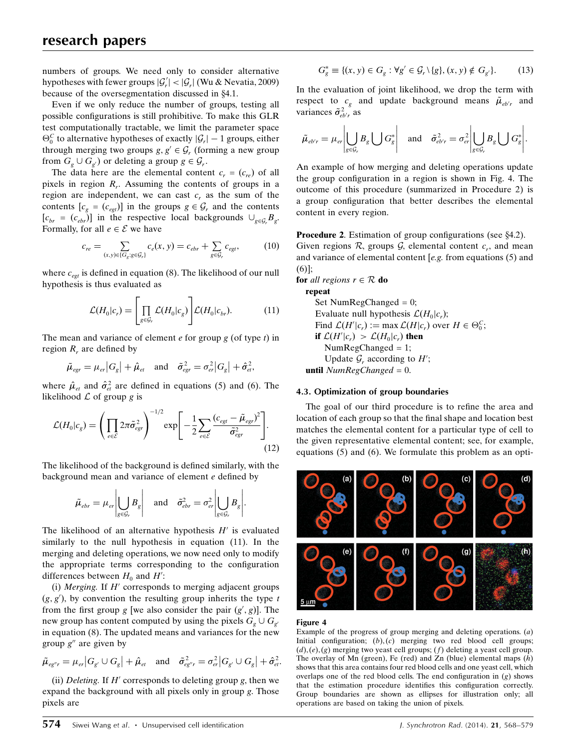numbers of groups. We need only to consider alternative hypotheses with fewer groups  $|\mathcal{G}'_r| < |\mathcal{G}_r|$  (Wu & Nevatia, 2009) because of the oversegmentation discussed in §4.1.

Even if we only reduce the number of groups, testing all possible configurations is still prohibitive. To make this GLR test computationally tractable, we limit the parameter space  $\Theta_0^C$  to alternative hypotheses of exactly  $|\mathcal{G}_r| - 1$  groups, either through merging two groups  $g, g' \in \mathcal{G}_r$  (forming a new group from  $G_{g} \cup G_{g'}$  or deleting a group  $g \in \mathcal{G}_{r}$ .

The data here are the elemental content  $c_r = (c_{re})$  of all pixels in region  $R<sub>r</sub>$ . Assuming the contents of groups in a region are independent, we can cast  $c<sub>r</sub>$  as the sum of the contents  $[c<sub>g</sub> = (c<sub>egt</sub>)]$  in the groups  $g \in G_r$  and the contents  $[c_{br} = (c_{ebr})]$  in the respective local backgrounds  $\cup_{g \in \mathcal{G}_r} B_g$ . Formally, for all  $e \in \mathcal{E}$  we have

$$
c_{re} = \sum_{(x,y)\in\{G_g: g\in\mathcal{G}_r\}} c_e(x,y) = c_{ebr} + \sum_{g\in\mathcal{G}_r} c_{egt},
$$
(10)

where  $c_{\text{egt}}$  is defined in equation (8). The likelihood of our null hypothesis is thus evaluated as

$$
\mathcal{L}(H_0|c_r) = \left[\prod_{g \in \mathcal{G}_r} \mathcal{L}(H_0|c_g)\right] \mathcal{L}(H_0|c_{br}).
$$
\n(11)

The mean and variance of element  $e$  for group  $g$  (of type  $t$ ) in region  $R_r$  are defined by

$$
\tilde{\mu}_{\text{egr}} = \mu_{\text{er}} |G_{\text{g}}| + \hat{\mu}_{\text{et}} \quad \text{and} \quad \tilde{\sigma}_{\text{egr}}^2 = \sigma_{\text{er}}^2 |G_{\text{g}}| + \hat{\sigma}_{\text{et}}^2,
$$

where  $\hat{\mu}_{et}$  and  $\hat{\sigma}_{et}^2$  are defined in equations (5) and (6). The likelihood  $\mathcal L$  of group g is

$$
\mathcal{L}(H_0|c_g) = \left(\prod_{e \in \mathcal{E}} 2\pi \tilde{\sigma}_{egr}^2\right)^{-1/2} \exp\left[-\frac{1}{2} \sum_{e \in \mathcal{E}} \frac{(c_{egt} - \tilde{\mu}_{egr})^2}{\tilde{\sigma}_{egr}^2}\right].
$$
\n(12)

The likelihood of the background is defined similarly, with the background mean and variance of element e defined by

$$
\tilde{\mu}_{\text{ebr}} = \mu_{\text{er}} \left| \bigcup_{g \in \mathcal{G}_r} B_g \right| \quad \text{and} \quad \tilde{\sigma}_{\text{ebr}}^2 = \sigma_{\text{er}}^2 \left| \bigcup_{g \in \mathcal{G}_r} B_g \right|.
$$

The likelihood of an alternative hypothesis  $H'$  is evaluated similarly to the null hypothesis in equation (11). In the merging and deleting operations, we now need only to modify the appropriate terms corresponding to the configuration differences between  $H_0$  and  $H'$ :

(i) Merging. If  $H'$  corresponds to merging adjacent groups  $(g, g')$ , by convention the resulting group inherits the type t from the first group g [we also consider the pair  $(g', g)$ ]. The new group has content computed by using the pixels  $G_{\varrho} \cup G_{\varrho'}$ in equation (8). The updated means and variances for the new group  $g''$  are given by

$$
\tilde{\mu}_{eg''r} = \mu_{er} \big| G_{g'} \cup G_g \big| + \hat{\mu}_{et} \quad \text{and} \quad \tilde{\sigma}_{eg''r}^2 = \sigma_{er}^2 \big| G_{g'} \cup G_g \big| + \hat{\sigma}_{et}^2.
$$

(ii) Deleting. If  $H'$  corresponds to deleting group g, then we expand the background with all pixels only in group g. Those pixels are

$$
G_g^* \equiv \{(x, y) \in G_g : \forall g' \in \mathcal{G}_r \setminus \{g\}, (x, y) \notin G_{g'}\}.
$$
 (13)

In the evaluation of joint likelihood, we drop the term with respect to  $c_g$  and update background means  $\tilde{\mu}_{eb'r}$  and variances  $\tilde{\sigma}_{eb'r}^2$  as

$$
\tilde{\mu}_{e^{b'r}} = \mu_{er} \left| \bigcup_{g \in \mathcal{G}_r} B_g \bigcup G_g^* \right| \quad \text{and} \quad \tilde{\sigma}_{eb'r}^2 = \sigma_{er}^2 \left| \bigcup_{g \in \mathcal{G}_r} B_g \bigcup G_g^* \right|.
$$

An example of how merging and deleting operations update the group configuration in a region is shown in Fig. 4. The outcome of this procedure (summarized in Procedure 2) is a group configuration that better describes the elemental content in every region.

**Procedure 2.** Estimation of group configurations (see  $\S4.2$ ). Given regions  $\mathcal{R}$ , groups  $\mathcal{G}$ , elemental content  $c_r$ , and mean and variance of elemental content  $[e.g.$  from equations  $(5)$  and (6)];

for all regions 
$$
r \in \mathcal{R}
$$
 do

repeat Set NumRegChanged = 0; Evaluate null hypothesis  $\mathcal{L}(H_0|c_r)$ ; Find  $\mathcal{L}(H'|c_r) := \max \mathcal{L}(H|c_r)$  over  $H \in \Theta_0^C$ ; if  $\mathcal{L}(H' | c_r) > \mathcal{L}(H_0 | c_r)$  then NumRegChanged = 1; Update  $\mathcal{G}_r$  according to  $H'$ ; until  $NumRegChange$  = 0.

## 4.3. Optimization of group boundaries

The goal of our third procedure is to refine the area and location of each group so that the final shape and location best matches the elemental content for a particular type of cell to the given representative elemental content; see, for example, equations (5) and (6). We formulate this problem as an opti-



## Figure 4

Example of the progress of group merging and deleting operations.  $(a)$ Initial configuration;  $(b)$ ,  $(c)$  merging two red blood cell groups;  $(d)$ ,  $(e)$ ,  $(g)$  merging two yeast cell groups;  $(f)$  deleting a yeast cell group. The overlay of Mn (green), Fe (red) and Zn (blue) elemental maps  $(h)$ shows that this area contains four red blood cells and one yeast cell, which overlaps one of the red blood cells. The end configuration in  $(g)$  shows that the estimation procedure identifies this configuration correctly. Group boundaries are shown as ellipses for illustration only; all operations are based on taking the union of pixels.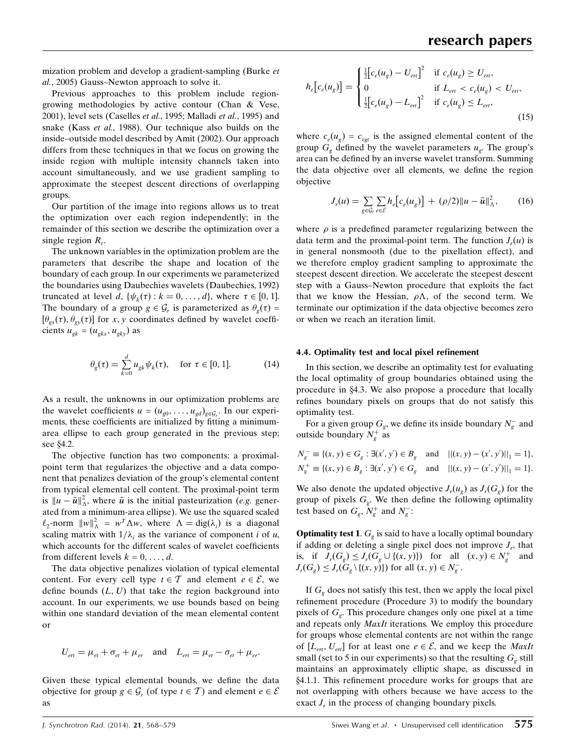mization problem and develop a gradient-sampling (Burke et al., 2005) Gauss–Newton approach to solve it.

Previous approaches to this problem include regiongrowing methodologies by active contour (Chan & Vese, 2001), level sets (Caselles et al., 1995; Malladi et al., 1995) and snake (Kass *et al.*, 1988). Our technique also builds on the inside–outside model described by Amit (2002). Our approach differs from these techniques in that we focus on growing the inside region with multiple intensity channels taken into account simultaneously, and we use gradient sampling to approximate the steepest descent directions of overlapping groups.

Our partition of the image into regions allows us to treat the optimization over each region independently; in the remainder of this section we describe the optimization over a single region  $R_r$ .

The unknown variables in the optimization problem are the parameters that describe the shape and location of the boundary of each group. In our experiments we parameterized the boundaries using Daubechies wavelets (Daubechies, 1992) truncated at level d,  $\{\psi_k(\tau): k = 0, \ldots, d\}$ , where  $\tau \in [0, 1]$ . The boundary of a group  $g \in \mathcal{G}_r$  is parameterized as  $\theta_\varrho(\tau) =$  $[\theta_{gx}(\tau), \theta_{gy}(\tau)]$  for x, y coordinates defined by wavelet coefficients  $u_{ek} = (u_{ekx}, u_{eky})$  as

$$
\theta_g(\tau) = \sum_{k=0}^d u_{gk} \psi_k(\tau), \quad \text{for } \tau \in [0, 1]. \tag{14}
$$

As a result, the unknowns in our optimization problems are the wavelet coefficients  $u = (u_{g0}, \dots, u_{gd})_{g \in \mathcal{G}_r}$ . In our experiments, these coefficients are initialized by fitting a minimumarea ellipse to each group generated in the previous step; see  $§4.2$ .

The objective function has two components: a proximalpoint term that regularizes the objective and a data component that penalizes deviation of the group's elemental content from typical elemental cell content. The proximal-point term is  $||u - \bar{u}||^2$ , where  $\bar{u}$  is the initial pasteurization (e.g. generated from a minimum-area ellipse). We use the squared scaled  $\ell_2$ -norm  $||w||^2 = w^T \Lambda w$ , where  $\Lambda = \text{dig}(\lambda_i)$  is a diagonal scaling matrix with  $1/\lambda_i$  as the variance of component i of u, which accounts for the different scales of wavelet coefficients from different levels  $k = 0, \ldots, d$ .

The data objective penalizes violation of typical elemental content. For every cell type  $t \in \mathcal{T}$  and element  $e \in \mathcal{E}$ , we define bounds  $(L, U)$  that take the region background into account. In our experiments, we use bounds based on being within one standard deviation of the mean elemental content or

$$
U_{\rm ent} = \mu_{\rm et} + \sigma_{\rm et} + \mu_{\rm er} \quad \text{and} \quad L_{\rm ent} = \mu_{\rm et} - \sigma_{\rm et} + \mu_{\rm er}.
$$

Given these typical elemental bounds, we define the data objective for group  $g \in \mathcal{G}_r$  (of type  $t \in \mathcal{T}$ ) and element  $e \in \mathcal{E}$ as

$$
h_e[c_e(u_g)] = \begin{cases} \frac{1}{2} [c_e(u_g) - U_{en}]^2 & \text{if } c_e(u_g) \ge U_{en}, \\ 0 & \text{if } L_{en} < c_e(u_g) < U_{en}, \\ \frac{1}{2} [c_e(u_g) - L_{en}]^2 & \text{if } c_e(u_g) \le L_{en}, \end{cases} \tag{15}
$$

where  $c_e(u_g) = c_{egt}$  is the assigned elemental content of the group  $G_g$  defined by the wavelet parameters  $u_g$ . The group's area can be defined by an inverse wavelet transform. Summing the data objective over all elements, we define the region objective

$$
J_r(u) = \sum_{g \in \mathcal{G}_r} \sum_{e \in \mathcal{E}} h_e \big[ c_e(u_g) \big] + (\rho/2) \|u - \bar{u}\|_{\Lambda}^2, \qquad (16)
$$

where  $\rho$  is a predefined parameter regularizing between the data term and the proximal-point term. The function  $J_r(u)$  is in general nonsmooth (due to the pixellation effect), and we therefore employ gradient sampling to approximate the steepest descent direction. We accelerate the steepest descent step with a Gauss–Newton procedure that exploits the fact that we know the Hessian,  $\rho \Lambda$ , of the second term. We terminate our optimization if the data objective becomes zero or when we reach an iteration limit.

### 4.4. Optimality test and local pixel refinement

In this section, we describe an optimality test for evaluating the local optimality of group boundaries obtained using the procedure in  $\&4.3$ . We also propose a procedure that locally refines boundary pixels on groups that do not satisfy this optimality test.

For a given group  $G_g$ , we define its inside boundary  $N_g^-$  and outside boundary  $N_g^+$  as

$$
N_g^- \equiv \{(x, y) \in G_g : \exists (x', y') \in B_g \text{ and } ||(x, y) - (x', y')||_1 = 1\},
$$
  
\n
$$
N_g^+ \equiv \{(x, y) \in B_g : \exists (x', y') \in G_g \text{ and } ||(x, y) - (x', y')||_1 = 1\}.
$$

We also denote the updated objective  $J_r(u_g)$  as  $J_r(G_g)$  for the group of pixels  $G_{\varrho}$ . We then define the following optimality test based on  $G_g$ ,  $N_g^+$  and  $N_g^-$ :

**Optimality test 1.**  $G_g$  is said to have a locally optimal boundary if adding or deleting a single pixel does not improve  $J_r$ , that is, if  $J_r(G_g) \leq J_r(G_g \cup \{(x, y)\})$  for all  $(x, y) \in N_g^+$  and  $J_r(G_g) \leq J_r(G_g \setminus \{(x, y)\})$  for all  $(x, y) \in N_g^-$ .

If  $G_{\rho}$  does not satisfy this test, then we apply the local pixel refinement procedure (Procedure 3) to modify the boundary pixels of  $G<sub>e</sub>$ . This procedure changes only one pixel at a time and repeats only MaxIt iterations. We employ this procedure for groups whose elemental contents are not within the range of  $[L_{\text{err}}, U_{\text{err}}]$  for at least one  $e \in \mathcal{E}$ , and we keep the *MaxIt* small (set to 5 in our experiments) so that the resulting  $G<sub>e</sub>$  still maintains an approximately elliptic shape, as discussed in x4.1.1. This refinement procedure works for groups that are not overlapping with others because we have access to the exact  $J_r$  in the process of changing boundary pixels.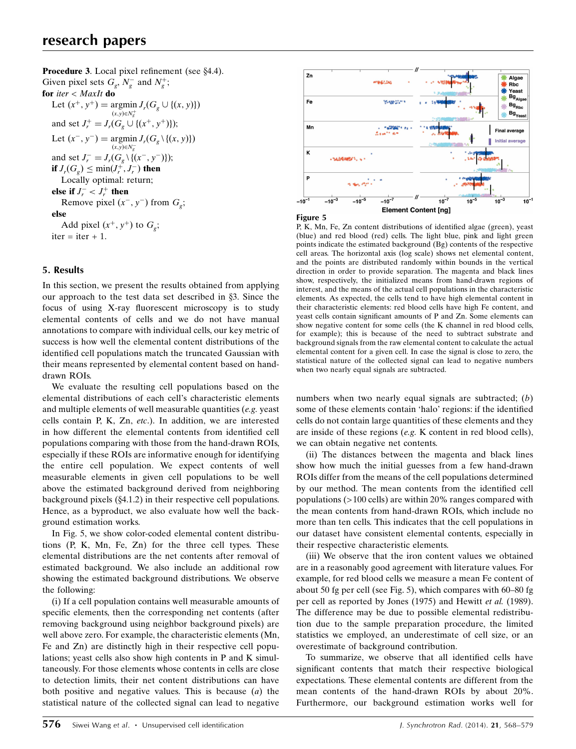Procedure 3. Local pixel refinement (see §4.4). Given pixel sets  $G_g$ ,  $N_g^-$  and  $N_g^+$ ; for iter  $<$  MaxIt do Let  $(x^+, y^+) = \arg\min_{y} J_r(G_g \cup \{(x, y)\})$  $(x,y) \in N_g^+$ and set  $J_r^+ = J_r(G_g \cup \{(x^+, y^+)\});$ Let  $(x^-, y^-) = \operatorname{argmin} J_r(G_g \setminus \{(x, y)\})$  $(x,y) \in N_g^$ and set  $J_r^- = J_r(G_g \setminus \{(x^-, y^-)\});$ if  $J_r(G_g)\leq \min(J_r^+,J_r^-)$  then Locally optimal: return; else if  $J_r^- < J_r^+$  then Remove pixel  $(x^-, y^-)$  from  $G_{\varphi}$ ; else Add pixel  $(x^+, y^+)$  to  $G_g$ ;  $iter = iter + 1.$ 

# 5. Results

In this section, we present the results obtained from applying our approach to the test data set described in  $\S$ 3. Since the focus of using X-ray fluorescent microscopy is to study elemental contents of cells and we do not have manual annotations to compare with individual cells, our key metric of success is how well the elemental content distributions of the identified cell populations match the truncated Gaussian with their means represented by elemental content based on handdrawn ROIs.

We evaluate the resulting cell populations based on the elemental distributions of each cell's characteristic elements and multiple elements of well measurable quantities (e.g. yeast cells contain P, K, Zn, etc.). In addition, we are interested in how different the elemental contents from identified cell populations comparing with those from the hand-drawn ROIs, especially if these ROIs are informative enough for identifying the entire cell population. We expect contents of well measurable elements in given cell populations to be well above the estimated background derived from neighboring background pixels  $(\S 4.1.2)$  in their respective cell populations. Hence, as a byproduct, we also evaluate how well the background estimation works.

In Fig. 5, we show color-coded elemental content distributions (P, K, Mn, Fe, Zn) for the three cell types. These elemental distributions are the net contents after removal of estimated background. We also include an additional row showing the estimated background distributions. We observe the following:

(i) If a cell population contains well measurable amounts of specific elements, then the corresponding net contents (after removing background using neighbor background pixels) are well above zero. For example, the characteristic elements (Mn, Fe and Zn) are distinctly high in their respective cell populations; yeast cells also show high contents in P and K simultaneously. For those elements whose contents in cells are close to detection limits, their net content distributions can have both positive and negative values. This is because (a) the statistical nature of the collected signal can lead to negative



Figure 5

P, K, Mn, Fe, Zn content distributions of identified algae (green), yeast (blue) and red blood (red) cells. The light blue, pink and light green points indicate the estimated background (Bg) contents of the respective cell areas. The horizontal axis (log scale) shows net elemental content, and the points are distributed randomly within bounds in the vertical direction in order to provide separation. The magenta and black lines show, respectively, the initialized means from hand-drawn regions of interest, and the means of the actual cell populations in the characteristic elements. As expected, the cells tend to have high elemental content in their characteristic elements: red blood cells have high Fe content, and yeast cells contain significant amounts of P and Zn. Some elements can show negative content for some cells (the K channel in red blood cells, for example); this is because of the need to subtract substrate and background signals from the raw elemental content to calculate the actual elemental content for a given cell. In case the signal is close to zero, the statistical nature of the collected signal can lead to negative numbers when two nearly equal signals are subtracted.

numbers when two nearly equal signals are subtracted; (b) some of these elements contain 'halo' regions: if the identified cells do not contain large quantities of these elements and they are inside of these regions (e.g. K content in red blood cells), we can obtain negative net contents.

(ii) The distances between the magenta and black lines show how much the initial guesses from a few hand-drawn ROIs differ from the means of the cell populations determined by our method. The mean contents from the identified cell populations (>100 cells) are within 20% ranges compared with the mean contents from hand-drawn ROIs, which include no more than ten cells. This indicates that the cell populations in our dataset have consistent elemental contents, especially in their respective characteristic elements.

(iii) We observe that the iron content values we obtained are in a reasonably good agreement with literature values. For example, for red blood cells we measure a mean Fe content of about 50 fg per cell (see Fig. 5), which compares with 60–80 fg per cell as reported by Jones (1975) and Hewitt et al. (1989). The difference may be due to possible elemental redistribution due to the sample preparation procedure, the limited statistics we employed, an underestimate of cell size, or an overestimate of background contribution.

To summarize, we observe that all identified cells have significant contents that match their respective biological expectations. These elemental contents are different from the mean contents of the hand-drawn ROIs by about 20%. Furthermore, our background estimation works well for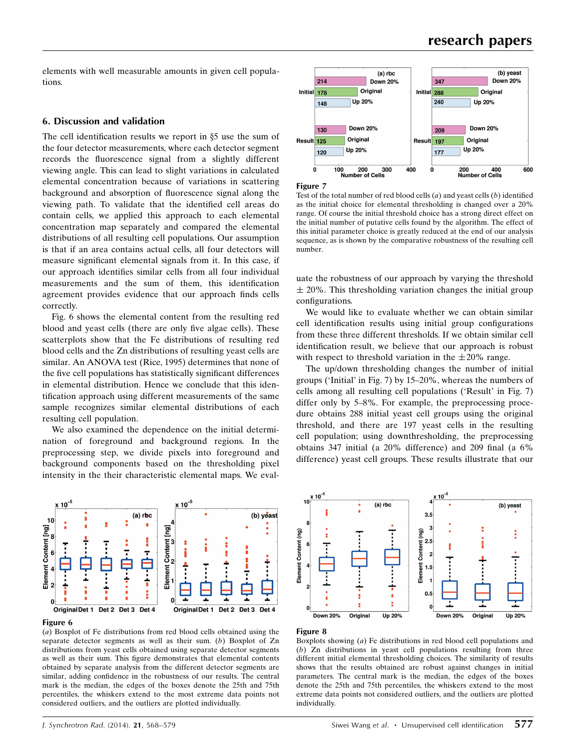elements with well measurable amounts in given cell populations.

## 6. Discussion and validation

The cell identification results we report in  $\S$ 5 use the sum of the four detector measurements, where each detector segment records the fluorescence signal from a slightly different viewing angle. This can lead to slight variations in calculated elemental concentration because of variations in scattering background and absorption of fluorescence signal along the viewing path. To validate that the identified cell areas do contain cells, we applied this approach to each elemental concentration map separately and compared the elemental distributions of all resulting cell populations. Our assumption is that if an area contains actual cells, all four detectors will measure significant elemental signals from it. In this case, if our approach identifies similar cells from all four individual measurements and the sum of them, this identification agreement provides evidence that our approach finds cells correctly.

Fig. 6 shows the elemental content from the resulting red blood and yeast cells (there are only five algae cells). These scatterplots show that the Fe distributions of resulting red blood cells and the Zn distributions of resulting yeast cells are similar. An ANOVA test (Rice, 1995) determines that none of the five cell populations has statistically significant differences in elemental distribution. Hence we conclude that this identification approach using different measurements of the same sample recognizes similar elemental distributions of each resulting cell population.

We also examined the dependence on the initial determination of foreground and background regions. In the preprocessing step, we divide pixels into foreground and background components based on the thresholding pixel intensity in the their characteristic elemental maps. We eval-



#### Figure 6

(a) Boxplot of Fe distributions from red blood cells obtained using the separate detector segments as well as their sum. (b) Boxplot of Zn distributions from yeast cells obtained using separate detector segments as well as their sum. This figure demonstrates that elemental contents obtained by separate analysis from the different detector segments are similar, adding confidence in the robustness of our results. The central mark is the median, the edges of the boxes denote the 25th and 75th percentiles, the whiskers extend to the most extreme data points not considered outliers, and the outliers are plotted individually.



Figure 7

Test of the total number of red blood cells  $(a)$  and yeast cells  $(b)$  identified as the initial choice for elemental thresholding is changed over a 20% range. Of course the initial threshold choice has a strong direct effect on the initial number of putative cells found by the algorithm. The effect of this initial parameter choice is greatly reduced at the end of our analysis sequence, as is shown by the comparative robustness of the resulting cell number.

uate the robustness of our approach by varying the threshold  $\pm$  20%. This thresholding variation changes the initial group configurations.

We would like to evaluate whether we can obtain similar cell identification results using initial group configurations from these three different thresholds. If we obtain similar cell identification result, we believe that our approach is robust with respect to threshold variation in the  $\pm 20\%$  range.

The up/down thresholding changes the number of initial groups ('Initial' in Fig. 7) by 15–20%, whereas the numbers of cells among all resulting cell populations ('Result' in Fig. 7) differ only by 5–8%. For example, the preprocessing procedure obtains 288 initial yeast cell groups using the original threshold, and there are 197 yeast cells in the resulting cell population; using downthresholding, the preprocessing obtains 347 initial (a 20% difference) and 209 final (a 6% difference) yeast cell groups. These results illustrate that our





Boxplots showing  $(a)$  Fe distributions in red blood cell populations and (b) Zn distributions in yeast cell populations resulting from three different initial elemental thresholding choices. The similarity of results shows that the results obtained are robust against changes in initial parameters. The central mark is the median, the edges of the boxes denote the 25th and 75th percentiles, the whiskers extend to the most extreme data points not considered outliers, and the outliers are plotted individually.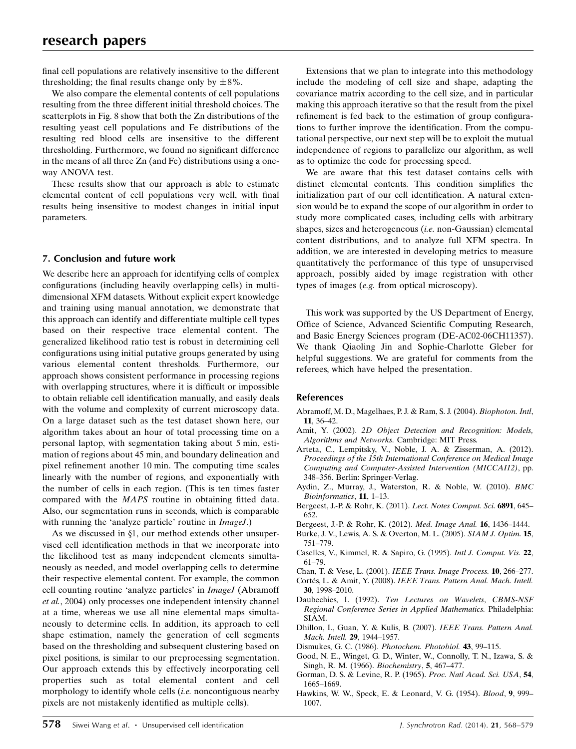final cell populations are relatively insensitive to the different thresholding; the final results change only by  $\pm 8\%$ .

We also compare the elemental contents of cell populations resulting from the three different initial threshold choices. The scatterplots in Fig. 8 show that both the Zn distributions of the resulting yeast cell populations and Fe distributions of the resulting red blood cells are insensitive to the different thresholding. Furthermore, we found no significant difference in the means of all three Zn (and Fe) distributions using a oneway ANOVA test.

These results show that our approach is able to estimate elemental content of cell populations very well, with final results being insensitive to modest changes in initial input parameters.

# 7. Conclusion and future work

We describe here an approach for identifying cells of complex configurations (including heavily overlapping cells) in multidimensional XFM datasets. Without explicit expert knowledge and training using manual annotation, we demonstrate that this approach can identify and differentiate multiple cell types based on their respective trace elemental content. The generalized likelihood ratio test is robust in determining cell configurations using initial putative groups generated by using various elemental content thresholds. Furthermore, our approach shows consistent performance in processing regions with overlapping structures, where it is difficult or impossible to obtain reliable cell identification manually, and easily deals with the volume and complexity of current microscopy data. On a large dataset such as the test dataset shown here, our algorithm takes about an hour of total processing time on a personal laptop, with segmentation taking about 5 min, estimation of regions about 45 min, and boundary delineation and pixel refinement another 10 min. The computing time scales linearly with the number of regions, and exponentially with the number of cells in each region. (This is ten times faster compared with the MAPS routine in obtaining fitted data. Also, our segmentation runs in seconds, which is comparable with running the 'analyze particle' routine in *ImageJ*.)

As we discussed in  $\S1$ , our method extends other unsupervised cell identification methods in that we incorporate into the likelihood test as many independent elements simultaneously as needed, and model overlapping cells to determine their respective elemental content. For example, the common cell counting routine 'analyze particles' in ImageJ (Abramoff et al., 2004) only processes one independent intensity channel at a time, whereas we use all nine elemental maps simultaneously to determine cells. In addition, its approach to cell shape estimation, namely the generation of cell segments based on the thresholding and subsequent clustering based on pixel positions, is similar to our preprocessing segmentation. Our approach extends this by effectively incorporating cell properties such as total elemental content and cell morphology to identify whole cells (i.e. noncontiguous nearby pixels are not mistakenly identified as multiple cells).

Extensions that we plan to integrate into this methodology include the modeling of cell size and shape, adapting the covariance matrix according to the cell size, and in particular making this approach iterative so that the result from the pixel refinement is fed back to the estimation of group configurations to further improve the identification. From the computational perspective, our next step will be to exploit the mutual independence of regions to parallelize our algorithm, as well as to optimize the code for processing speed.

We are aware that this test dataset contains cells with distinct elemental contents. This condition simplifies the initialization part of our cell identification. A natural extension would be to expand the scope of our algorithm in order to study more complicated cases, including cells with arbitrary shapes, sizes and heterogeneous (i.e. non-Gaussian) elemental content distributions, and to analyze full XFM spectra. In addition, we are interested in developing metrics to measure quantitatively the performance of this type of unsupervised approach, possibly aided by image registration with other types of images (e.g. from optical microscopy).

This work was supported by the US Department of Energy, Office of Science, Advanced Scientific Computing Research, and Basic Energy Sciences program (DE-AC02-06CH11357). We thank Qiaoling Jin and Sophie-Charlotte Gleber for helpful suggestions. We are grateful for comments from the referees, which have helped the presentation.

## References

- [Abramoff, M. D., Magelhaes, P. J. & Ram, S. J. \(2004\).](http://scripts.iucr.org/cgi-bin/cr.cgi?rm=pdfbb&cnor=wa5055&bbid=BB1) Biophoton. Intl, 11[, 36–42.](http://scripts.iucr.org/cgi-bin/cr.cgi?rm=pdfbb&cnor=wa5055&bbid=BB1)
- Amit, Y. (2002). [2D Object Detection and Recognition: Models,](http://scripts.iucr.org/cgi-bin/cr.cgi?rm=pdfbb&cnor=wa5055&bbid=BB2) [Algorithms and Networks.](http://scripts.iucr.org/cgi-bin/cr.cgi?rm=pdfbb&cnor=wa5055&bbid=BB2) Cambridge: MIT Press.
- [Arteta, C., Lempitsky, V., Noble, J. A. & Zisserman, A. \(2012\).](http://scripts.iucr.org/cgi-bin/cr.cgi?rm=pdfbb&cnor=wa5055&bbid=BB3) [Proceedings of the 15th International Conference on Medical Image](http://scripts.iucr.org/cgi-bin/cr.cgi?rm=pdfbb&cnor=wa5055&bbid=BB3) [Computing and Computer-Assisted Intervention \(MICCAI12\)](http://scripts.iucr.org/cgi-bin/cr.cgi?rm=pdfbb&cnor=wa5055&bbid=BB3), pp. [348–356. Berlin: Springer-Verlag.](http://scripts.iucr.org/cgi-bin/cr.cgi?rm=pdfbb&cnor=wa5055&bbid=BB3)
- [Aydin, Z., Murray, J., Waterston, R. & Noble, W. \(2010\).](http://scripts.iucr.org/cgi-bin/cr.cgi?rm=pdfbb&cnor=wa5055&bbid=BB4) BMC [Bioinformatics](http://scripts.iucr.org/cgi-bin/cr.cgi?rm=pdfbb&cnor=wa5055&bbid=BB4), 11, 1–13.
- [Bergeest, J.-P. & Rohr, K. \(2011\).](http://scripts.iucr.org/cgi-bin/cr.cgi?rm=pdfbb&cnor=wa5055&bbid=BB5) Lect. Notes Comput. Sci. 6891, 645– [652.](http://scripts.iucr.org/cgi-bin/cr.cgi?rm=pdfbb&cnor=wa5055&bbid=BB5)
- [Bergeest, J.-P. & Rohr, K. \(2012\).](http://scripts.iucr.org/cgi-bin/cr.cgi?rm=pdfbb&cnor=wa5055&bbid=BB6) Med. Image Anal. 16, 1436–1444.
- [Burke, J. V., Lewis, A. S. & Overton, M. L. \(2005\).](http://scripts.iucr.org/cgi-bin/cr.cgi?rm=pdfbb&cnor=wa5055&bbid=BB7) SIAM J. Optim. 15, [751–779.](http://scripts.iucr.org/cgi-bin/cr.cgi?rm=pdfbb&cnor=wa5055&bbid=BB7)
- [Caselles, V., Kimmel, R. & Sapiro, G. \(1995\).](http://scripts.iucr.org/cgi-bin/cr.cgi?rm=pdfbb&cnor=wa5055&bbid=BB8) Intl J. Comput. Vis. 22, [61–79.](http://scripts.iucr.org/cgi-bin/cr.cgi?rm=pdfbb&cnor=wa5055&bbid=BB8)
- Chan, T. & Vese, L. (2001). [IEEE Trans. Image Process.](http://scripts.iucr.org/cgi-bin/cr.cgi?rm=pdfbb&cnor=wa5055&bbid=BB9) 10, 266–277.
- Cortés, L. & Amit, Y. (2008). [IEEE Trans. Pattern Anal. Mach. Intell.](http://scripts.iucr.org/cgi-bin/cr.cgi?rm=pdfbb&cnor=wa5055&bbid=BB10) 30[, 1998–2010.](http://scripts.iucr.org/cgi-bin/cr.cgi?rm=pdfbb&cnor=wa5055&bbid=BB10)
- Daubechies, I. (1992). [Ten Lectures on Wavelets](http://scripts.iucr.org/cgi-bin/cr.cgi?rm=pdfbb&cnor=wa5055&bbid=BB11), CBMS-NSF [Regional Conference Series in Applied Mathematics.](http://scripts.iucr.org/cgi-bin/cr.cgi?rm=pdfbb&cnor=wa5055&bbid=BB11) Philadelphia: [SIAM.](http://scripts.iucr.org/cgi-bin/cr.cgi?rm=pdfbb&cnor=wa5055&bbid=BB11)
- [Dhillon, I., Guan, Y. & Kulis, B. \(2007\).](http://scripts.iucr.org/cgi-bin/cr.cgi?rm=pdfbb&cnor=wa5055&bbid=BB12) IEEE Trans. Pattern Anal. [Mach. Intell.](http://scripts.iucr.org/cgi-bin/cr.cgi?rm=pdfbb&cnor=wa5055&bbid=BB12) 29, 1944–1957.
- [Dismukes, G. C. \(1986\).](http://scripts.iucr.org/cgi-bin/cr.cgi?rm=pdfbb&cnor=wa5055&bbid=BB13) Photochem. Photobiol. 43, 99–115.
- [Good, N. E., Winget, G. D., Winter, W., Connolly, T. N., Izawa, S. &](http://scripts.iucr.org/cgi-bin/cr.cgi?rm=pdfbb&cnor=wa5055&bbid=BB14) [Singh, R. M. \(1966\).](http://scripts.iucr.org/cgi-bin/cr.cgi?rm=pdfbb&cnor=wa5055&bbid=BB14) Biochemistry, 5, 467–477.
- [Gorman, D. S. & Levine, R. P. \(1965\).](http://scripts.iucr.org/cgi-bin/cr.cgi?rm=pdfbb&cnor=wa5055&bbid=BB15) Proc. Natl Acad. Sci. USA, 54, [1665–1669.](http://scripts.iucr.org/cgi-bin/cr.cgi?rm=pdfbb&cnor=wa5055&bbid=BB15)
- [Hawkins, W. W., Speck, E. & Leonard, V. G. \(1954\).](http://scripts.iucr.org/cgi-bin/cr.cgi?rm=pdfbb&cnor=wa5055&bbid=BB16) Blood, 9, 999– [1007.](http://scripts.iucr.org/cgi-bin/cr.cgi?rm=pdfbb&cnor=wa5055&bbid=BB16)